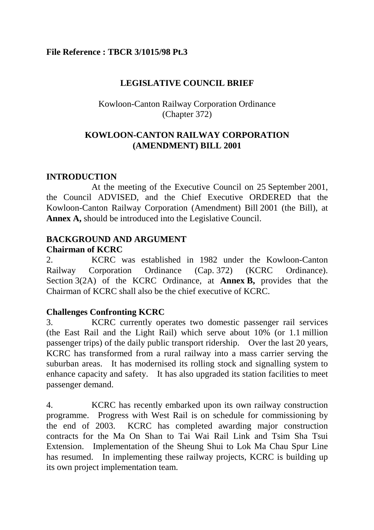### **File Reference : TBCR 3/1015/98 Pt.3**

## **LEGISLATIVE COUNCIL BRIEF**

## Kowloon-Canton Railway Corporation Ordinance (Chapter 372)

## **KOWLOON-CANTON RAILWAY CORPORATION (AMENDMENT) BILL 2001**

## **INTRODUCTION**

At the meeting of the Executive Council on 25 September 2001, the Council ADVISED, and the Chief Executive ORDERED that the Kowloon-Canton Railway Corporation (Amendment) Bill 2001 (the Bill), at **Annex A,** should be introduced into the Legislative Council.

# **BACKGROUND AND ARGUMENT**

#### **Chairman of KCRC**

2. KCRC was established in 1982 under the Kowloon-Canton Railway Corporation Ordinance (Cap. 372) (KCRC Ordinance). Section 3(2A) of the KCRC Ordinance, at **Annex B,** provides that the Chairman of KCRC shall also be the chief executive of KCRC.

## **Challenges Confronting KCRC**

3. KCRC currently operates two domestic passenger rail services (the East Rail and the Light Rail) which serve about 10% (or 1.1 million passenger trips) of the daily public transport ridership. Over the last 20 years, KCRC has transformed from a rural railway into a mass carrier serving the suburban areas. It has modernised its rolling stock and signalling system to enhance capacity and safety. It has also upgraded its station facilities to meet passenger demand.

4. KCRC has recently embarked upon its own railway construction programme. Progress with West Rail is on schedule for commissioning by the end of 2003. KCRC has completed awarding major construction contracts for the Ma On Shan to Tai Wai Rail Link and Tsim Sha Tsui Extension. Implementation of the Sheung Shui to Lok Ma Chau Spur Line has resumed. In implementing these railway projects, KCRC is building up its own project implementation team.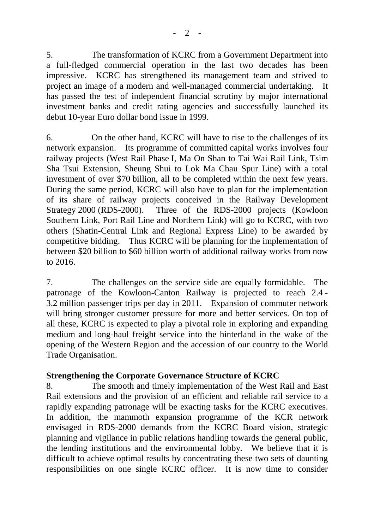5. The transformation of KCRC from a Government Department into a full-fledged commercial operation in the last two decades has been impressive. KCRC has strengthened its management team and strived to project an image of a modern and well-managed commercial undertaking. It has passed the test of independent financial scrutiny by major international investment banks and credit rating agencies and successfully launched its debut 10-year Euro dollar bond issue in 1999.

6. On the other hand, KCRC will have to rise to the challenges of its network expansion. Its programme of committed capital works involves four railway projects (West Rail Phase I, Ma On Shan to Tai Wai Rail Link, Tsim Sha Tsui Extension, Sheung Shui to Lok Ma Chau Spur Line) with a total investment of over \$70 billion, all to be completed within the next few years. During the same period, KCRC will also have to plan for the implementation of its share of railway projects conceived in the Railway Development Strategy 2000 (RDS-2000). Three of the RDS-2000 projects (Kowloon Southern Link, Port Rail Line and Northern Link) will go to KCRC, with two others (Shatin-Central Link and Regional Express Line) to be awarded by competitive bidding. Thus KCRC will be planning for the implementation of between \$20 billion to \$60 billion worth of additional railway works from now to 2016.

7. The challenges on the service side are equally formidable. The patronage of the Kowloon-Canton Railway is projected to reach 2.4 - 3.2 million passenger trips per day in 2011. Expansion of commuter network will bring stronger customer pressure for more and better services. On top of all these, KCRC is expected to play a pivotal role in exploring and expanding medium and long-haul freight service into the hinterland in the wake of the opening of the Western Region and the accession of our country to the World Trade Organisation.

## **Strengthening the Corporate Governance Structure of KCRC**

8. The smooth and timely implementation of the West Rail and East Rail extensions and the provision of an efficient and reliable rail service to a rapidly expanding patronage will be exacting tasks for the KCRC executives. In addition, the mammoth expansion programme of the KCR network envisaged in RDS-2000 demands from the KCRC Board vision, strategic planning and vigilance in public relations handling towards the general public, the lending institutions and the environmental lobby. We believe that it is difficult to achieve optimal results by concentrating these two sets of daunting responsibilities on one single KCRC officer. It is now time to consider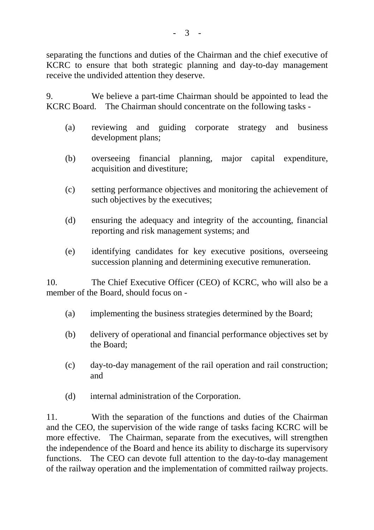separating the functions and duties of the Chairman and the chief executive of KCRC to ensure that both strategic planning and day-to-day management receive the undivided attention they deserve.

9. We believe a part-time Chairman should be appointed to lead the KCRC Board. The Chairman should concentrate on the following tasks -

- (a) reviewing and guiding corporate strategy and business development plans;
- (b) overseeing financial planning, major capital expenditure, acquisition and divestiture;
- (c) setting performance objectives and monitoring the achievement of such objectives by the executives;
- (d) ensuring the adequacy and integrity of the accounting, financial reporting and risk management systems; and
- (e) identifying candidates for key executive positions, overseeing succession planning and determining executive remuneration.

10. The Chief Executive Officer (CEO) of KCRC, who will also be a member of the Board, should focus on -

- (a) implementing the business strategies determined by the Board;
- (b) delivery of operational and financial performance objectives set by the Board;
- (c) day-to-day management of the rail operation and rail construction; and
- (d) internal administration of the Corporation.

11. With the separation of the functions and duties of the Chairman and the CEO, the supervision of the wide range of tasks facing KCRC will be more effective. The Chairman, separate from the executives, will strengthen the independence of the Board and hence its ability to discharge its supervisory functions. The CEO can devote full attention to the day-to-day management of the railway operation and the implementation of committed railway projects.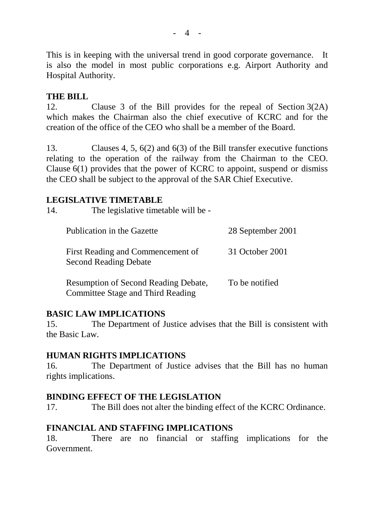This is in keeping with the universal trend in good corporate governance. It is also the model in most public corporations e.g. Airport Authority and Hospital Authority.

### **THE BILL**

12. Clause 3 of the Bill provides for the repeal of Section 3(2A) which makes the Chairman also the chief executive of KCRC and for the creation of the office of the CEO who shall be a member of the Board.

13. Clauses 4, 5, 6(2) and 6(3) of the Bill transfer executive functions relating to the operation of the railway from the Chairman to the CEO. Clause 6(1) provides that the power of KCRC to appoint, suspend or dismiss the CEO shall be subject to the approval of the SAR Chief Executive.

#### **LEGISLATIVE TIMETABLE**

| 14. | The legislative timetable will be -                                              |                   |
|-----|----------------------------------------------------------------------------------|-------------------|
|     | Publication in the Gazette                                                       | 28 September 2001 |
|     | First Reading and Commencement of<br><b>Second Reading Debate</b>                | 31 October 2001   |
|     | <b>Resumption of Second Reading Debate,</b><br>Committee Stage and Third Reading | To be notified    |

## **BASIC LAW IMPLICATIONS**

15. The Department of Justice advises that the Bill is consistent with the Basic Law.

## **HUMAN RIGHTS IMPLICATIONS**

16. The Department of Justice advises that the Bill has no human rights implications.

## **BINDING EFFECT OF THE LEGISLATION**

17. The Bill does not alter the binding effect of the KCRC Ordinance.

## **FINANCIAL AND STAFFING IMPLICATIONS**

18. There are no financial or staffing implications for the Government.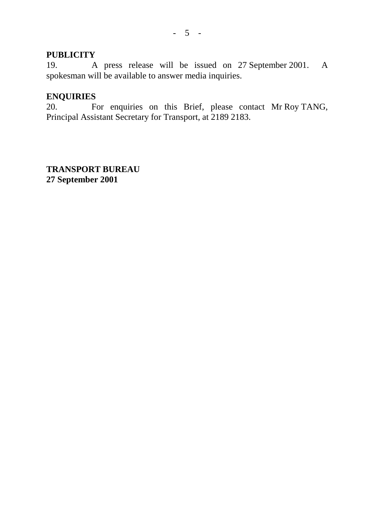#### **PUBLICITY**

19. A press release will be issued on 27 September 2001. A spokesman will be available to answer media inquiries.

#### **ENQUIRIES**

20. For enquiries on this Brief, please contact Mr Roy TANG, Principal Assistant Secretary for Transport, at 2189 2183.

**TRANSPORT BUREAU 27 September 2001**